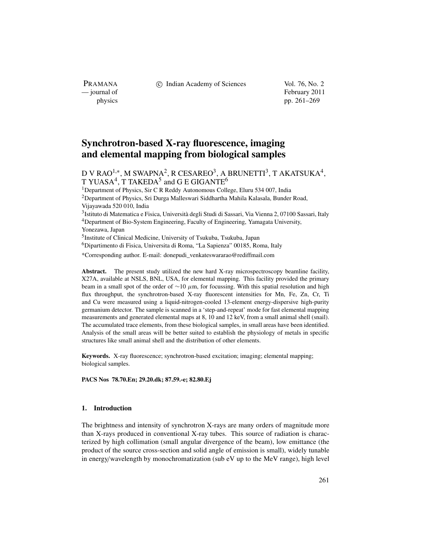PRAMANA<br>
— journal of

c Indian Academy of Sciences Vol. 76, No. 2

February 2011 physics pp. 261–269

# **Synchrotron-based X-ray fluorescence, imaging and elemental mapping from biological samples**

D V RAO<sup>1,∗</sup>, M SWAPNA<sup>2</sup>, R CESAREO<sup>3</sup>, A BRUNETTI<sup>3</sup>, T AKATSUKA<sup>4</sup>, T YUASA<sup>4</sup>, T TAKEDA<sup>5</sup> and G E GIGANTE<sup>6</sup>

<sup>1</sup>Department of Physics, Sir C R Reddy Autonomous College, Eluru 534 007, India 2Department of Physics, Sri Durga Malleswari Siddhartha Mahila Kalasala, Bunder Road, Vijayawada 520 010, India 3Istituto di Matematica e Fisica, Università degli Studi di Sassari, Via Vienna 2, 07100 Sassari, Italy 4Department of Bio-System Engineering, Faculty of Engineering, Yamagata University, Yonezawa, Japan 5Institute of Clinical Medicine, University of Tsukuba, Tsukuba, Japan

6Dipartimento di Fisica, Universita di Roma, "La Sapienza" 00185, Roma, Italy

\*Corresponding author. E-mail: donepudi\_venkateswararao@rediffmail.com

**Abstract.** The present study utilized the new hard X-ray microspectroscopy beamline facility, X27A, available at NSLS, BNL, USA, for elemental mapping. This facility provided the primary beam in a small spot of the order of  $\sim$ 10 μm, for focussing. With this spatial resolution and high flux throughput, the synchrotron-based X-ray fluorescent intensities for Mn, Fe, Zn, Cr, Ti and Cu were measured using a liquid-nitrogen-cooled 13-element energy-dispersive high-purity germanium detector. The sample is scanned in a 'step-and-repeat' mode for fast elemental mapping measurements and generated elemental maps at 8, 10 and 12 keV, from a small animal shell (snail). The accumulated trace elements, from these biological samples, in small areas have been identified. Analysis of the small areas will be better suited to establish the physiology of metals in specific structures like small animal shell and the distribution of other elements.

**Keywords.** X-ray fluorescence; synchrotron-based excitation; imaging; elemental mapping; biological samples.

**PACS Nos 78.70.En; 29.20.dk; 87.59.-e; 82.80.Ej**

#### **1. Introduction**

The brightness and intensity of synchrotron X-rays are many orders of magnitude more than X-rays produced in conventional X-ray tubes. This source of radiation is characterized by high collimation (small angular divergence of the beam), low emittance (the product of the source cross-section and solid angle of emission is small), widely tunable in energy/wavelength by monochromatization (sub eV up to the MeV range), high level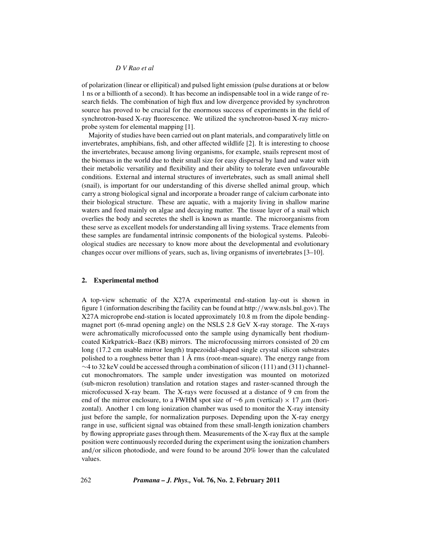of polarization (linear or ellipitical) and pulsed light emission (pulse durations at or below 1 ns or a billionth of a second). It has become an indispensable tool in a wide range of research fields. The combination of high flux and low divergence provided by synchrotron source has proved to be crucial for the enormous success of experiments in the field of synchrotron-based X-ray fluorescence. We utilized the synchrotron-based X-ray microprobe system for elemental mapping [1].

Majority of studies have been carried out on plant materials, and comparatively little on invertebrates, amphibians, fish, and other affected wildlife [2]. It is interesting to choose the invertebrates, because among living organisms, for example, snails represent most of the biomass in the world due to their small size for easy dispersal by land and water with their metabolic versatility and flexibility and their ability to tolerate even unfavourable conditions. External and internal structures of invertebrates, such as small animal shell (snail), is important for our understanding of this diverse shelled animal group, which carry a strong biological signal and incorporate a broader range of calcium carbonate into their biological structure. These are aquatic, with a majority living in shallow marine waters and feed mainly on algae and decaying matter. The tissue layer of a snail which overlies the body and secretes the shell is known as mantle. The microorganisms from these serve as excellent models for understanding all living systems. Trace elements from these samples are fundamental intrinsic components of the biological systems. Paleobiological studies are necessary to know more about the developmental and evolutionary changes occur over millions of years, such as, living organisms of invertebrates [3–10].

### **2. Experimental method**

A top-view schematic of the X27A experimental end-station lay-out is shown in figure 1 (information describing the facility can be found at http://www.nsls.bnl.gov). The X27A microprobe end-station is located approximately 10.8 m from the dipole bendingmagnet port (6-mrad opening angle) on the NSLS 2.8 GeV X-ray storage. The X-rays were achromatically microfocussed onto the sample using dynamically bent rhodiumcoated Kirkpatrick–Baez (KB) mirrors. The microfocussing mirrors consisted of 20 cm long (17.2 cm usable mirror length) trapezoidal-shaped single crystal silicon substrates polished to a roughness better than  $1 \text{ Å}$  rms (root-mean-square). The energy range from  $\sim$ 4 to 32 keV could be accessed through a combination of silicon (111) and (311) channelcut monochromators. The sample under investigation was mounted on motorized (sub-micron resolution) translation and rotation stages and raster-scanned through the microfocussed X-ray beam. The X-rays were focussed at a distance of 9 cm from the end of the mirror enclosure, to a FWHM spot size of  $\sim$ 6  $\mu$ m (vertical) × 17  $\mu$ m (horizontal). Another 1 cm long ionization chamber was used to monitor the X-ray intensity just before the sample, for normalization purposes. Depending upon the X-ray energy range in use, sufficient signal was obtained from these small-length ionization chambers by flowing appropriate gases through them. Measurements of the X-ray flux at the sample position were continuously recorded during the experiment using the ionization chambers and/or silicon photodiode, and were found to be around 20% lower than the calculated values.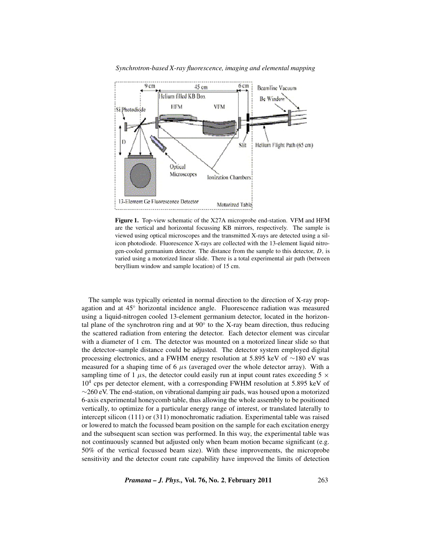

*Synchrotron-based X-ray fluorescence, imaging and elemental mapping*

**Figure 1.** Top-view schematic of the X27A microprobe end-station. VFM and HFM are the vertical and horizontal focussing KB mirrors, respectively. The sample is viewed using optical microscopes and the transmitted X-rays are detected using a silicon photodiode. Fluorescence X-rays are collected with the 13-element liquid nitrogen-cooled germanium detector. The distance from the sample to this detector, *D*, is varied using a motorized linear slide. There is a total experimental air path (between beryllium window and sample location) of 15 cm.

The sample was typically oriented in normal direction to the direction of X-ray propagation and at 45◦ horizontal incidence angle. Fluorescence radiation was measured using a liquid-nitrogen cooled 13-element germanium detector, located in the horizontal plane of the synchrotron ring and at  $90°$  to the X-ray beam direction, thus reducing the scattered radiation from entering the detector. Each detector element was circular with a diameter of 1 cm. The detector was mounted on a motorized linear slide so that the detector–sample distance could be adjusted. The detector system employed digital processing electronics, and a FWHM energy resolution at 5.895 keV of ∼180 eV was measured for a shaping time of 6  $\mu$ s (averaged over the whole detector array). With a sampling time of 1  $\mu$ s, the detector could easily run at input count rates exceeding 5  $\times$  $10<sup>4</sup>$  cps per detector element, with a corresponding FWHM resolution at 5.895 keV of ∼260 eV. The end-station, on vibrational damping air pads, was housed upon a motorized 6-axis experimental honeycomb table, thus allowing the whole assembly to be positioned vertically, to optimize for a particular energy range of interest, or translated laterally to intercept silicon (111) or (311) monochromatic radiation. Experimental table was raised or lowered to match the focussed beam position on the sample for each excitation energy and the subsequent scan section was performed. In this way, the experimental table was not continuously scanned but adjusted only when beam motion became significant (e.g. 50% of the vertical focussed beam size). With these improvements, the microprobe sensitivity and the detector count rate capability have improved the limits of detection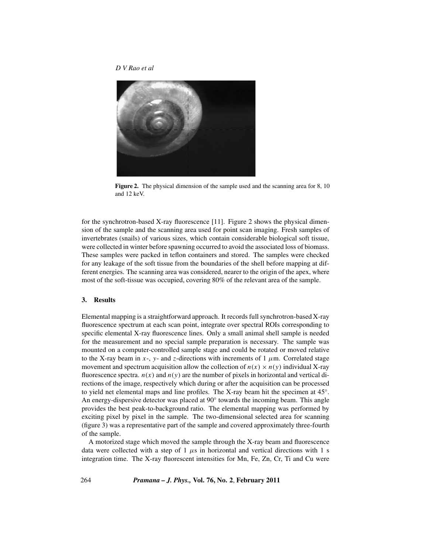

**Figure 2.** The physical dimension of the sample used and the scanning area for 8, 10 and 12 keV.

for the synchrotron-based X-ray fluorescence [11]. Figure 2 shows the physical dimension of the sample and the scanning area used for point scan imaging. Fresh samples of invertebrates (snails) of various sizes, which contain considerable biological soft tissue, were collected in winter before spawning occurred to avoid the associated loss of biomass. These samples were packed in teflon containers and stored. The samples were checked for any leakage of the soft tissue from the boundaries of the shell before mapping at different energies. The scanning area was considered, nearer to the origin of the apex, where most of the soft-tissue was occupied, covering 80% of the relevant area of the sample.

#### **3. Results**

Elemental mapping is a straightforward approach. It records full synchrotron-based X-ray fluorescence spectrum at each scan point, integrate over spectral ROIs corresponding to specific elemental X-ray fluorescence lines. Only a small animal shell sample is needed for the measurement and no special sample preparation is necessary. The sample was mounted on a computer-controlled sample stage and could be rotated or moved relative to the X-ray beam in  $x$ -,  $y$ - and  $z$ -directions with increments of  $1 \mu$ m. Correlated stage movement and spectrum acquisition allow the collection of  $n(x) \times n(y)$  individual X-ray fluorescence spectra.  $n(x)$  and  $n(y)$  are the number of pixels in horizontal and vertical directions of the image, respectively which during or after the acquisition can be processed to yield net elemental maps and line profiles. The X-ray beam hit the specimen at 45◦. An energy-dispersive detector was placed at 90◦ towards the incoming beam. This angle provides the best peak-to-background ratio. The elemental mapping was performed by exciting pixel by pixel in the sample. The two-dimensional selected area for scanning (figure 3) was a representative part of the sample and covered approximately three-fourth of the sample.

A motorized stage which moved the sample through the X-ray beam and fluorescence data were collected with a step of 1  $\mu$ s in horizontal and vertical directions with 1 s integration time. The X-ray fluorescent intensities for Mn, Fe, Zn, Cr, Ti and Cu were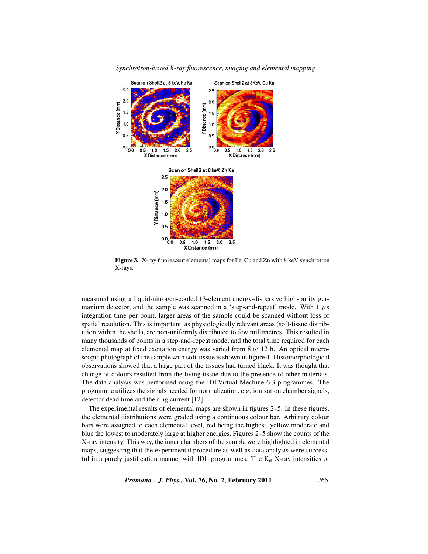

*Synchrotron-based X-ray fluorescence, imaging and elemental mapping*

**Figure 3.** X-ray fluorescent elemental maps for Fe, Cu and Zn with 8 keV synchrotron X-rays.

measured using a liquid-nitrogen-cooled 13-element energy-dispersive high-purity germanium detector, and the sample was scanned in a 'step-and-repeat' mode. With  $1 \mu s$ integration time per point, larger areas of the sample could be scanned without loss of spatial resolution. This is important, as physiologically relevant areas (soft-tissue distribution within the shell), are non-uniformly distributed to few millimetres. This resulted in many thousands of points in a step-and-repeat mode, and the total time required for each elemental map at fixed excitation energy was varied from 8 to 12 h. An optical microscopic photograph of the sample with soft-tissue is shown in figure 4. Histomorphological observations showed that a large part of the tissues had turned black. It was thought that change of colours resulted from the living tissue due to the presence of other materials. The data analysis was performed using the IDLVirtual Mechine 6.3 programmes. The programme utilizes the signals needed for normalization, e.g. ionization chamber signals, detector dead time and the ring current [12].

The experimental results of elemental maps are shown in figures 2–5. In these figures, the elemental distributions were graded using a continuous colour bar. Arbitrary colour bars were assigned to each elemental level, red being the highest, yellow moderate and blue the lowest to moderately large at higher energies. Figures 2–5 show the counts of the X-ray intensity. This way, the inner chambers of the sample were highlighted in elemental maps, suggesting that the experimental procedure as well as data analysis were successful in a purely justification manner with IDL programmes. The  $K_{\alpha}$  X-ray intensities of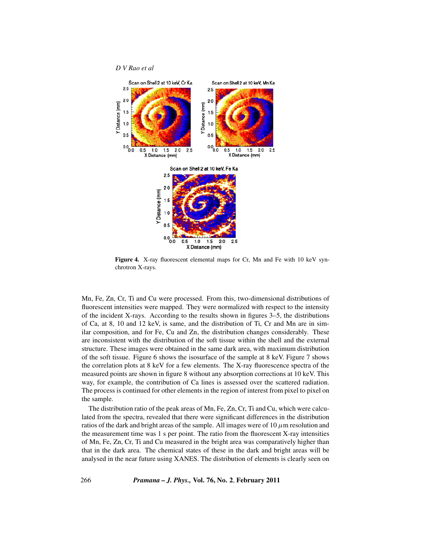

**Figure 4.** X-ray fluorescent elemental maps for Cr, Mn and Fe with 10 keV synchrotron X-rays.

Mn, Fe, Zn, Cr, Ti and Cu were processed. From this, two-dimensional distributions of fluorescent intensities were mapped. They were normalized with respect to the intensity of the incident X-rays. According to the results shown in figures 3–5, the distributions of Ca, at 8, 10 and 12 keV, is same, and the distribution of Ti, Cr and Mn are in similar composition, and for Fe, Cu and Zn, the distribution changes considerably. These are inconsistent with the distribution of the soft tissue within the shell and the external structure. These images were obtained in the same dark area, with maximum distribution of the soft tissue. Figure 6 shows the isosurface of the sample at 8 keV. Figure 7 shows the correlation plots at 8 keV for a few elements. The X-ray fluorescence spectra of the measured points are shown in figure 8 without any absorption corrections at 10 keV. This way, for example, the contribution of Ca lines is assessed over the scattered radiation. The process is continued for other elements in the region of interest from pixel to pixel on the sample.

The distribution ratio of the peak areas of Mn, Fe, Zn, Cr, Ti and Cu, which were calculated from the spectra, revealed that there were significant differences in the distribution ratios of the dark and bright areas of the sample. All images were of  $10 \mu$ m resolution and the measurement time was 1 s per point. The ratio from the fluorescent X-ray intensities of Mn, Fe, Zn, Cr, Ti and Cu measured in the bright area was comparatively higher than that in the dark area. The chemical states of these in the dark and bright areas will be analysed in the near future using XANES. The distribution of elements is clearly seen on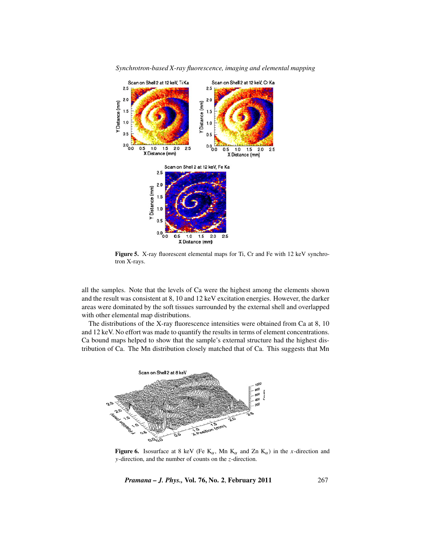

*Synchrotron-based X-ray fluorescence, imaging and elemental mapping*

**Figure 5.** X-ray fluorescent elemental maps for Ti, Cr and Fe with 12 keV synchrotron X-rays.

all the samples. Note that the levels of Ca were the highest among the elements shown and the result was consistent at 8, 10 and 12 keV excitation energies. However, the darker areas were dominated by the soft tissues surrounded by the external shell and overlapped with other elemental map distributions.

The distributions of the X-ray fluorescence intensities were obtained from Ca at 8, 10 and 12 keV. No effort was made to quantify the results in terms of element concentrations. Ca bound maps helped to show that the sample's external structure had the highest distribution of Ca. The Mn distribution closely matched that of Ca. This suggests that Mn



**Figure 6.** Isosurface at 8 keV (Fe  $K_{\alpha}$ , Mn  $K_{\alpha}$  and Zn  $K_{\alpha}$ ) in the *x*-direction and *y*-direction, and the number of counts on the *z*-direction.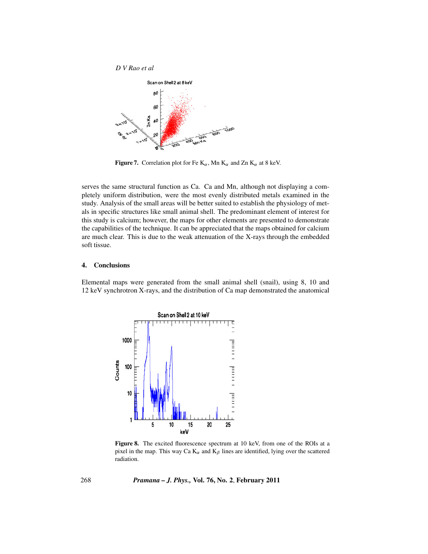

**Figure 7.** Correlation plot for Fe  $K_{\alpha}$ , Mn  $K_{\alpha}$  and Zn  $K_{\alpha}$  at 8 keV.

serves the same structural function as Ca. Ca and Mn, although not displaying a completely uniform distribution, were the most evenly distributed metals examined in the study. Analysis of the small areas will be better suited to establish the physiology of metals in specific structures like small animal shell. The predominant element of interest for this study is calcium; however, the maps for other elements are presented to demonstrate the capabilities of the technique. It can be appreciated that the maps obtained for calcium are much clear. This is due to the weak attenuation of the X-rays through the embedded soft tissue.

## **4. Conclusions**

Elemental maps were generated from the small animal shell (snail), using 8, 10 and 12 keV synchrotron X-rays, and the distribution of Ca map demonstrated the anatomical



Figure 8. The excited fluorescence spectrum at 10 keV, from one of the ROIs at a pixel in the map. This way Ca  $K_{\alpha}$  and  $K_{\beta}$  lines are identified, lying over the scattered radiation.